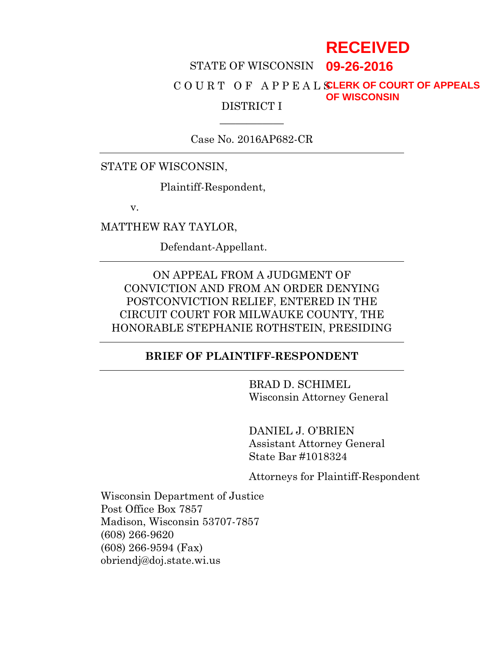# **RECEIVED**

## STATE OF WISCONSIN **09-26-2016**

#### C O U R T O F A P P E A L S **CLERK OF COURT OF APPEALS** DISTRICT I **OF WISCONSIN**

Case No. 2016AP682-CR

 $\overline{\phantom{a}}$ 

STATE OF WISCONSIN,

Plaintiff-Respondent,

v.

MATTHEW RAY TAYLOR,

Defendant-Appellant.

ON APPEAL FROM A JUDGMENT OF CONVICTION AND FROM AN ORDER DENYING POSTCONVICTION RELIEF, ENTERED IN THE CIRCUIT COURT FOR MILWAUKE COUNTY, THE HONORABLE STEPHANIE ROTHSTEIN, PRESIDING

#### **BRIEF OF PLAINTIFF-RESPONDENT**

BRAD D. SCHIMEL Wisconsin Attorney General

DANIEL J. O'BRIEN Assistant Attorney General State Bar #1018324

Attorneys for Plaintiff-Respondent

Wisconsin Department of Justice Post Office Box 7857 Madison, Wisconsin 53707-7857 (608) 266-9620 (608) 266-9594 (Fax) obriendj@doj.state.wi.us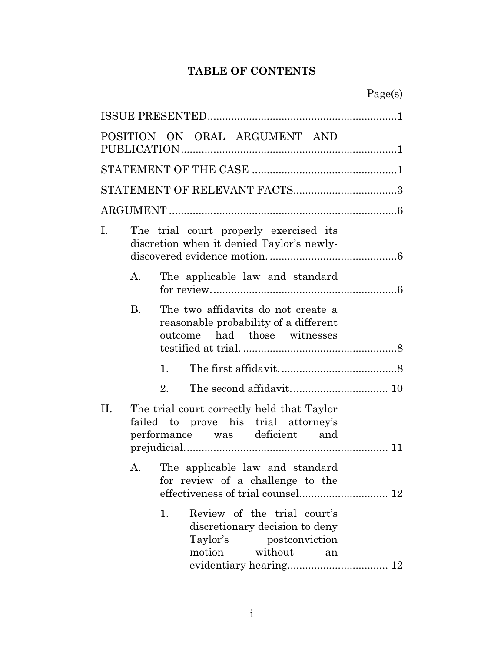# **TABLE OF CONTENTS**

|     |           | POSITION ON ORAL ARGUMENT AND                                                                                                |
|-----|-----------|------------------------------------------------------------------------------------------------------------------------------|
|     |           |                                                                                                                              |
|     |           | STATEMENT OF RELEVANT FACTS3                                                                                                 |
|     |           |                                                                                                                              |
| Ι.  |           | The trial court properly exercised its<br>discretion when it denied Taylor's newly-                                          |
|     | А.        | The applicable law and standard                                                                                              |
|     | <b>B.</b> | The two affidavits do not create a<br>reasonable probability of a different<br>outcome had those witnesses                   |
|     |           | 1.                                                                                                                           |
|     |           | 2.                                                                                                                           |
| II. |           | The trial court correctly held that Taylor<br>failed to prove his trial attorney's<br>performance was deficient and          |
|     | А.        | The applicable law and standard<br>for review of a challenge to the                                                          |
|     |           | Review of the trial court's<br>1.<br>discretionary decision to deny<br>Taylor's<br>postconviction<br>motion<br>without<br>an |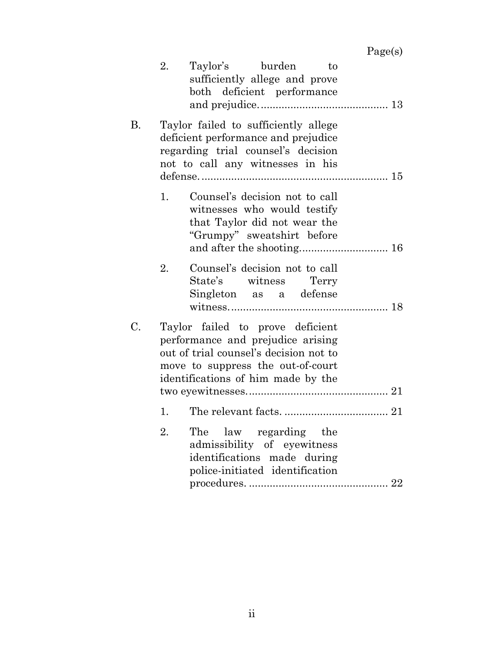Page(s)

|    | 2. | Taylor's burden<br>to<br>sufficiently allege and prove<br>both deficient performance                                                                                                       |
|----|----|--------------------------------------------------------------------------------------------------------------------------------------------------------------------------------------------|
| В. |    | Taylor failed to sufficiently allege<br>deficient performance and prejudice<br>regarding trial counsel's decision<br>not to call any witnesses in his                                      |
|    | 1. | Counsel's decision not to call<br>witnesses who would testify<br>that Taylor did not wear the<br>"Grumpy" sweatshirt before                                                                |
|    | 2. | Counsel's decision not to call<br>State's witness Terry<br>Singleton as a defense                                                                                                          |
| C. |    | Taylor failed to prove deficient<br>performance and prejudice arising<br>out of trial counsel's decision not to<br>move to suppress the out-of-court<br>identifications of him made by the |
|    | 1. |                                                                                                                                                                                            |
|    | 2. | The law regarding the<br>admissibility of eyewitness<br>identifications made during<br>police-initiated identification<br>$\rm{procedures.}\,\,{}{}{}{}{}{}{}{}{}{}{}{}22$                 |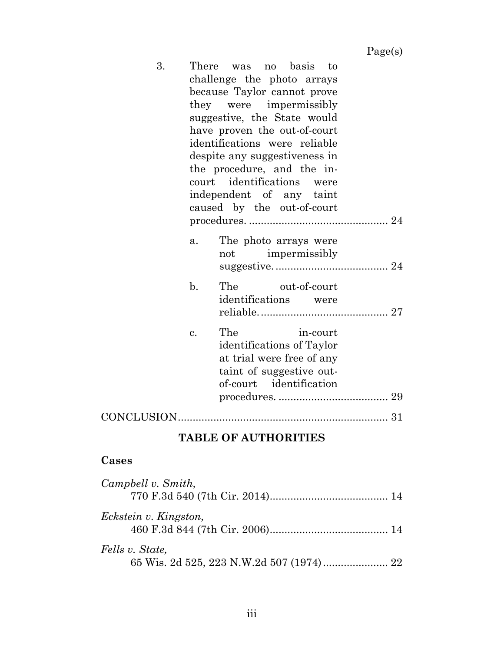| 3. |                | There was no basis to<br>challenge the photo arrays<br>because Taylor cannot prove<br>they were impermissibly<br>suggestive, the State would<br>have proven the out-of-court<br>identifications were reliable<br>despite any suggestiveness in<br>the procedure, and the in-<br>court identifications<br>were<br>independent of any taint<br>caused by the out-of-court |
|----|----------------|-------------------------------------------------------------------------------------------------------------------------------------------------------------------------------------------------------------------------------------------------------------------------------------------------------------------------------------------------------------------------|
|    | a.             | The photo arrays were<br>not impermissibly                                                                                                                                                                                                                                                                                                                              |
|    | $\mathbf{b}$ . | The out-of-court<br>identifications were                                                                                                                                                                                                                                                                                                                                |
|    | c.             | The<br>in-court<br>identifications of Taylor<br>at trial were free of any<br>taint of suggestive out-<br>of-court identification                                                                                                                                                                                                                                        |
|    |                |                                                                                                                                                                                                                                                                                                                                                                         |

# **TABLE OF AUTHORITIES**

# **Cases**

| Campbell v. Smith,    |  |
|-----------------------|--|
|                       |  |
| Eckstein v. Kingston, |  |
| Fells v. State,       |  |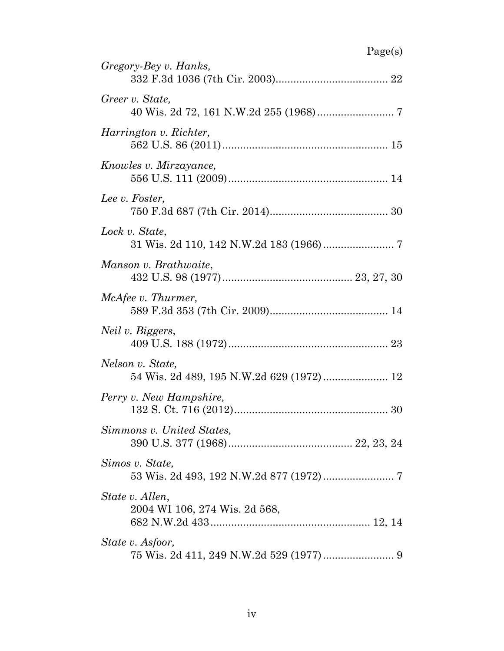| Gregory-Bey v. Hanks,                                        |
|--------------------------------------------------------------|
| Greer v. State,                                              |
| Harrington v. Richter,                                       |
| Knowles v. Mirzayance,                                       |
| Lee v. Foster,                                               |
| Lock v. State,                                               |
| Manson v. Brathwaite,                                        |
| McAfee v. Thurmer,                                           |
| Neil v. Biggers,                                             |
| Nelson v. State,<br>54 Wis. 2d 489, 195 N.W.2d 629 (1972) 12 |
| Perry v. New Hampshire,                                      |
| Simmons v. United States,                                    |
| Simos v. State,                                              |
| State v. Allen,<br>2004 WI 106, 274 Wis. 2d 568,             |
| State v. Asfoor,                                             |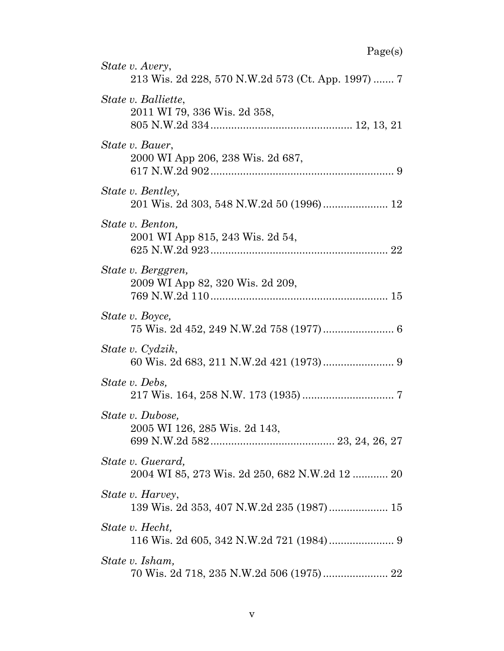| ாப<br>u |  |  |
|---------|--|--|
|---------|--|--|

| r agets)                                                              |
|-----------------------------------------------------------------------|
| State v. Avery,<br>213 Wis. 2d 228, 570 N.W.2d 573 (Ct. App. 1997)  7 |
| State v. Balliette,<br>2011 WI 79, 336 Wis. 2d 358,                   |
| State v. Bauer,<br>2000 WI App 206, 238 Wis. 2d 687,                  |
| <i>State v. Bentley,</i>                                              |
| State v. Benton,<br>2001 WI App 815, 243 Wis. 2d 54,                  |
| State v. Berggren,<br>2009 WI App 82, 320 Wis. 2d 209,                |
| State v. Boyce,                                                       |
| State v. Cydzik,                                                      |
| State v. Debs,                                                        |
| State v. Dubose,<br>2005 WI 126, 285 Wis. 2d 143,                     |
| State v. Guerard,<br>2004 WI 85, 273 Wis. 2d 250, 682 N.W.2d 12  20   |
| State v. Harvey,<br>139 Wis. 2d 353, 407 N.W.2d 235 (1987) 15         |
| State v. Hecht,                                                       |
| State v. Isham,                                                       |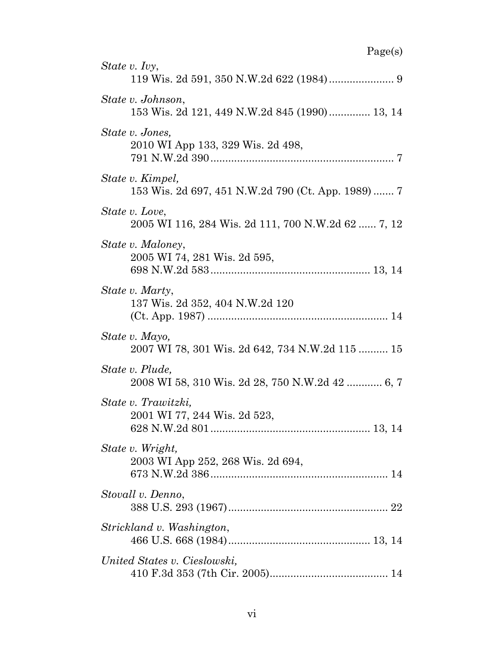| State v. Ivy,                                                                            |
|------------------------------------------------------------------------------------------|
| State v. Johnson,<br>153 Wis. 2d 121, 449 N.W.2d 845 (1990) 13, 14                       |
| State v. Jones,<br>2010 WI App 133, 329 Wis. 2d 498,                                     |
| State v. Kimpel,<br>153 Wis. 2d 697, 451 N.W.2d 790 (Ct. App. 1989)  7                   |
| State v. Love,<br>2005 WI 116, 284 Wis. 2d 111, 700 N.W.2d 62  7, 12                     |
| State v. Maloney,<br>2005 WI 74, 281 Wis. 2d 595,                                        |
| State v. Marty,<br>137 Wis. 2d 352, 404 N.W.2d 120                                       |
| State v. Mayo,<br>2007 WI 78, 301 Wis. 2d 642, 734 N.W.2d 115  15                        |
| State v. Plude,<br>2008 WI 58, 310 Wis. 2d 28, 750 N.W.2d 42  6, 7                       |
| State v. Trawitzki,<br>2001 WI 77, 244 Wis. 2d 523,<br>628 N.W.2d 801<br>$\ldots$ 13, 14 |
| State v. Wright,<br>2003 WI App 252, 268 Wis. 2d 694,                                    |
| Stovall v. Denno,                                                                        |
| Strickland v. Washington,                                                                |
| United States v. Cieslowski,                                                             |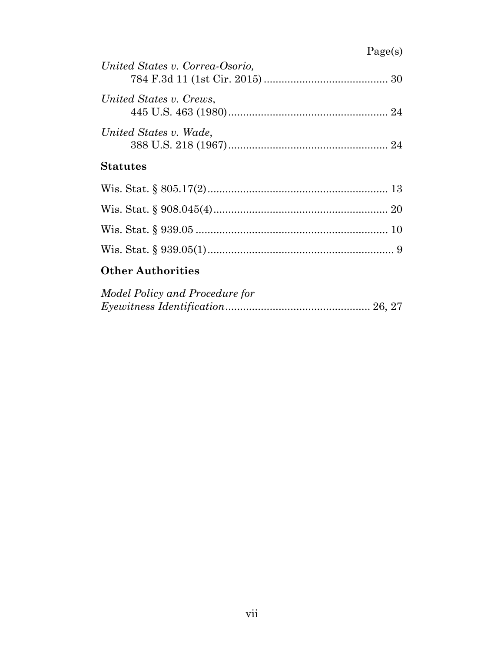# Page(s)

| United States v. Correa-Osorio, |  |
|---------------------------------|--|
| United States v. Crews,         |  |
| United States v. Wade,          |  |
| <b>Statutes</b>                 |  |
|                                 |  |
|                                 |  |

Wis. Stat. § 939.05 ................................................................. 10 Wis. Stat. § 939.05(1)............................................................... 9

# **Other Authorities**

| Model Policy and Procedure for |  |
|--------------------------------|--|
|                                |  |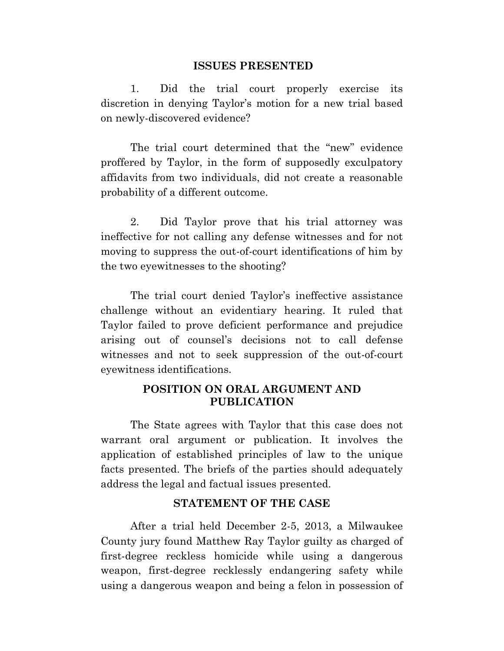#### **ISSUES PRESENTED**

1. Did the trial court properly exercise its discretion in denying Taylor's motion for a new trial based on newly-discovered evidence?

The trial court determined that the "new" evidence proffered by Taylor, in the form of supposedly exculpatory affidavits from two individuals, did not create a reasonable probability of a different outcome.

2. Did Taylor prove that his trial attorney was ineffective for not calling any defense witnesses and for not moving to suppress the out-of-court identifications of him by the two eyewitnesses to the shooting?

The trial court denied Taylor's ineffective assistance challenge without an evidentiary hearing. It ruled that Taylor failed to prove deficient performance and prejudice arising out of counsel's decisions not to call defense witnesses and not to seek suppression of the out-of-court eyewitness identifications.

#### **POSITION ON ORAL ARGUMENT AND PUBLICATION**

The State agrees with Taylor that this case does not warrant oral argument or publication. It involves the application of established principles of law to the unique facts presented. The briefs of the parties should adequately address the legal and factual issues presented.

#### **STATEMENT OF THE CASE**

After a trial held December 2-5, 2013, a Milwaukee County jury found Matthew Ray Taylor guilty as charged of first-degree reckless homicide while using a dangerous weapon, first-degree recklessly endangering safety while using a dangerous weapon and being a felon in possession of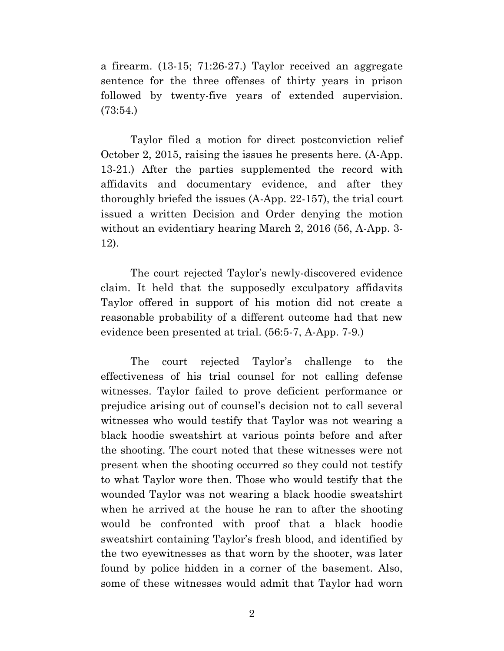a firearm. (13-15; 71:26-27.) Taylor received an aggregate sentence for the three offenses of thirty years in prison followed by twenty-five years of extended supervision. (73:54.)

Taylor filed a motion for direct postconviction relief October 2, 2015, raising the issues he presents here. (A-App. 13-21.) After the parties supplemented the record with affidavits and documentary evidence, and after they thoroughly briefed the issues (A-App. 22-157), the trial court issued a written Decision and Order denying the motion without an evidentiary hearing March 2, 2016 (56, A-App. 3- 12).

The court rejected Taylor's newly-discovered evidence claim. It held that the supposedly exculpatory affidavits Taylor offered in support of his motion did not create a reasonable probability of a different outcome had that new evidence been presented at trial. (56:5-7, A-App. 7-9.)

The court rejected Taylor's challenge to the effectiveness of his trial counsel for not calling defense witnesses. Taylor failed to prove deficient performance or prejudice arising out of counsel's decision not to call several witnesses who would testify that Taylor was not wearing a black hoodie sweatshirt at various points before and after the shooting. The court noted that these witnesses were not present when the shooting occurred so they could not testify to what Taylor wore then. Those who would testify that the wounded Taylor was not wearing a black hoodie sweatshirt when he arrived at the house he ran to after the shooting would be confronted with proof that a black hoodie sweatshirt containing Taylor's fresh blood, and identified by the two eyewitnesses as that worn by the shooter, was later found by police hidden in a corner of the basement. Also, some of these witnesses would admit that Taylor had worn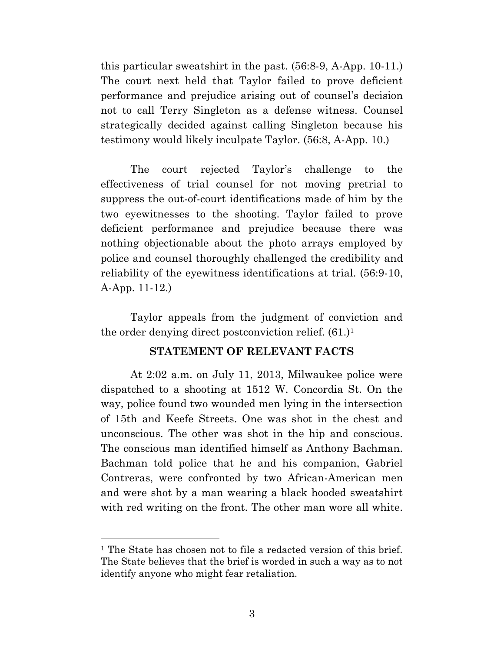this particular sweatshirt in the past. (56:8-9, A-App. 10-11.) The court next held that Taylor failed to prove deficient performance and prejudice arising out of counsel's decision not to call Terry Singleton as a defense witness. Counsel strategically decided against calling Singleton because his testimony would likely inculpate Taylor. (56:8, A-App. 10.)

The court rejected Taylor's challenge to the effectiveness of trial counsel for not moving pretrial to suppress the out-of-court identifications made of him by the two eyewitnesses to the shooting. Taylor failed to prove deficient performance and prejudice because there was nothing objectionable about the photo arrays employed by police and counsel thoroughly challenged the credibility and reliability of the eyewitness identifications at trial. (56:9-10, A-App. 11-12.)

Taylor appeals from the judgment of conviction and the order denying direct postconviction relief. (61.)<sup>1</sup>

#### **STATEMENT OF RELEVANT FACTS**

At 2:02 a.m. on July 11, 2013, Milwaukee police were dispatched to a shooting at 1512 W. Concordia St. On the way, police found two wounded men lying in the intersection of 15th and Keefe Streets. One was shot in the chest and unconscious. The other was shot in the hip and conscious. The conscious man identified himself as Anthony Bachman. Bachman told police that he and his companion, Gabriel Contreras, were confronted by two African-American men and were shot by a man wearing a black hooded sweatshirt with red writing on the front. The other man wore all white.

<sup>&</sup>lt;sup>1</sup> The State has chosen not to file a redacted version of this brief. The State believes that the brief is worded in such a way as to not identify anyone who might fear retaliation.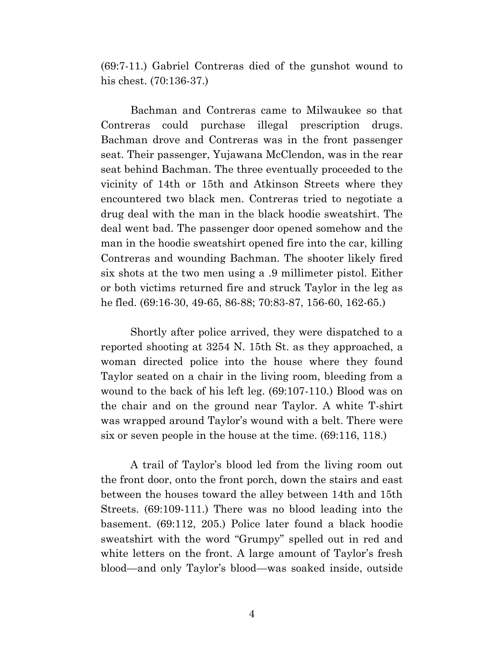(69:7-11.) Gabriel Contreras died of the gunshot wound to his chest. (70:136-37.)

Bachman and Contreras came to Milwaukee so that Contreras could purchase illegal prescription drugs. Bachman drove and Contreras was in the front passenger seat. Their passenger, Yujawana McClendon, was in the rear seat behind Bachman. The three eventually proceeded to the vicinity of 14th or 15th and Atkinson Streets where they encountered two black men. Contreras tried to negotiate a drug deal with the man in the black hoodie sweatshirt. The deal went bad. The passenger door opened somehow and the man in the hoodie sweatshirt opened fire into the car, killing Contreras and wounding Bachman. The shooter likely fired six shots at the two men using a .9 millimeter pistol. Either or both victims returned fire and struck Taylor in the leg as he fled. (69:16-30, 49-65, 86-88; 70:83-87, 156-60, 162-65.)

Shortly after police arrived, they were dispatched to a reported shooting at 3254 N. 15th St. as they approached, a woman directed police into the house where they found Taylor seated on a chair in the living room, bleeding from a wound to the back of his left leg. (69:107-110.) Blood was on the chair and on the ground near Taylor. A white T-shirt was wrapped around Taylor's wound with a belt. There were six or seven people in the house at the time. (69:116, 118.)

A trail of Taylor's blood led from the living room out the front door, onto the front porch, down the stairs and east between the houses toward the alley between 14th and 15th Streets. (69:109-111.) There was no blood leading into the basement. (69:112, 205.) Police later found a black hoodie sweatshirt with the word "Grumpy" spelled out in red and white letters on the front. A large amount of Taylor's fresh blood—and only Taylor's blood—was soaked inside, outside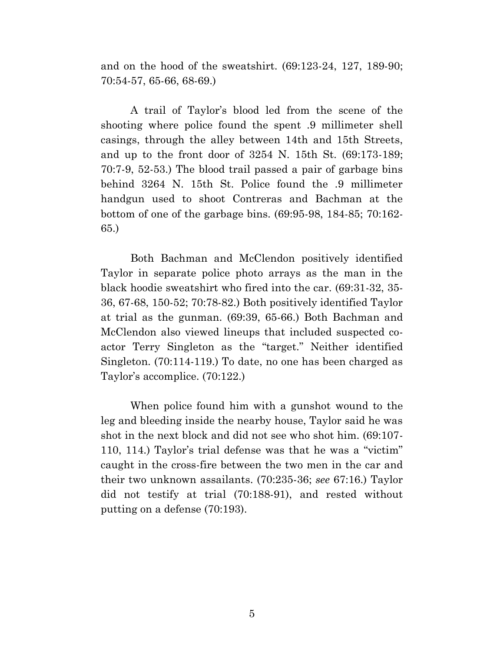and on the hood of the sweatshirt. (69:123-24, 127, 189-90; 70:54-57, 65-66, 68-69.)

A trail of Taylor's blood led from the scene of the shooting where police found the spent .9 millimeter shell casings, through the alley between 14th and 15th Streets, and up to the front door of 3254 N. 15th St. (69:173-189; 70:7-9, 52-53.) The blood trail passed a pair of garbage bins behind 3264 N. 15th St. Police found the .9 millimeter handgun used to shoot Contreras and Bachman at the bottom of one of the garbage bins. (69:95-98, 184-85; 70:162- 65.)

Both Bachman and McClendon positively identified Taylor in separate police photo arrays as the man in the black hoodie sweatshirt who fired into the car. (69:31-32, 35- 36, 67-68, 150-52; 70:78-82.) Both positively identified Taylor at trial as the gunman. (69:39, 65-66.) Both Bachman and McClendon also viewed lineups that included suspected coactor Terry Singleton as the "target." Neither identified Singleton. (70:114-119.) To date, no one has been charged as Taylor's accomplice. (70:122.)

When police found him with a gunshot wound to the leg and bleeding inside the nearby house, Taylor said he was shot in the next block and did not see who shot him. (69:107- 110, 114.) Taylor's trial defense was that he was a "victim" caught in the cross-fire between the two men in the car and their two unknown assailants. (70:235-36; *see* 67:16.) Taylor did not testify at trial (70:188-91), and rested without putting on a defense (70:193).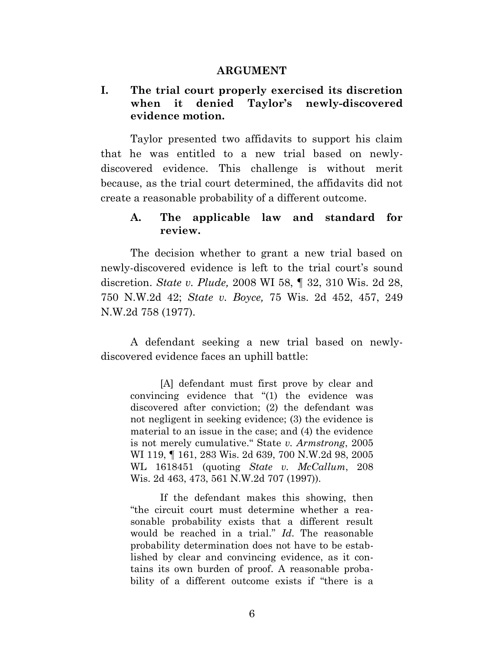#### **ARGUMENT**

#### **I. The trial court properly exercised its discretion when it denied Taylor's newly-discovered evidence motion.**

Taylor presented two affidavits to support his claim that he was entitled to a new trial based on newlydiscovered evidence. This challenge is without merit because, as the trial court determined, the affidavits did not create a reasonable probability of a different outcome.

#### **A. The applicable law and standard for review.**

The decision whether to grant a new trial based on newly-discovered evidence is left to the trial court's sound discretion. *State v. Plude,* 2008 WI 58, ¶ 32, 310 Wis. 2d 28, 750 N.W.2d 42; *State v. Boyce,* 75 Wis. 2d 452, 457, 249 N.W.2d 758 (1977).

A defendant seeking a new trial based on newlydiscovered evidence faces an uphill battle:

[A] defendant must first prove by clear and convincing evidence that "(1) the evidence was discovered after conviction; (2) the defendant was not negligent in seeking evidence; (3) the evidence is material to an issue in the case; and (4) the evidence is not merely cumulative." State *v. Armstrong*, 2005 WI 119, ¶ 161, 283 Wis. 2d 639, 700 N.W.2d 98, 2005 WL 1618451 (quoting *State v. McCallum*, 208 Wis. 2d 463, 473, 561 N.W.2d 707 (1997)).

If the defendant makes this showing, then "the circuit court must determine whether a reasonable probability exists that a different result would be reached in a trial." *Id*. The reasonable probability determination does not have to be established by clear and convincing evidence, as it contains its own burden of proof. A reasonable probability of a different outcome exists if "there is a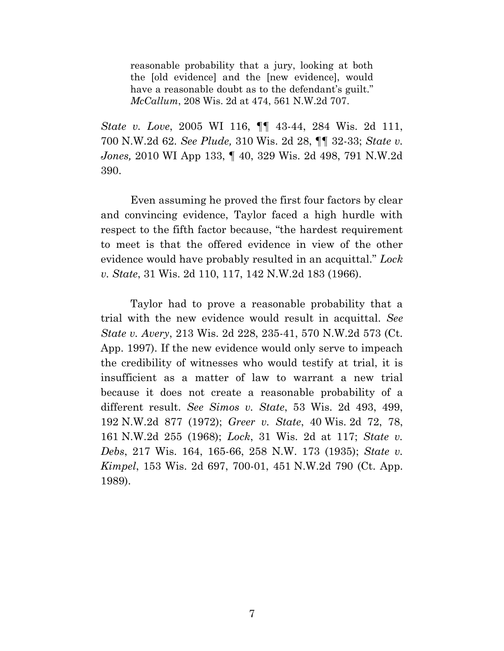reasonable probability that a jury, looking at both the [old evidence] and the [new evidence], would have a reasonable doubt as to the defendant's guilt." *McCallum*, 208 Wis. 2d at 474, 561 N.W.2d 707.

*State v. Love*, 2005 WI 116, ¶¶ 43-44, 284 Wis. 2d 111, 700 N.W.2d 62. *See Plude,* 310 Wis. 2d 28, ¶¶ 32-33; *State v. Jones,* 2010 WI App 133, ¶ 40, 329 Wis. 2d 498, 791 N.W.2d 390.

Even assuming he proved the first four factors by clear and convincing evidence, Taylor faced a high hurdle with respect to the fifth factor because, "the hardest requirement to meet is that the offered evidence in view of the other evidence would have probably resulted in an acquittal." *Lock v. State*, 31 Wis. 2d 110, 117, 142 N.W.2d 183 (1966).

Taylor had to prove a reasonable probability that a trial with the new evidence would result in acquittal. *See State v. Avery*, 213 Wis. 2d 228, 235-41, 570 N.W.2d 573 (Ct. App. 1997). If the new evidence would only serve to impeach the credibility of witnesses who would testify at trial, it is insufficient as a matter of law to warrant a new trial because it does not create a reasonable probability of a different result. *See Simos v. State*, 53 Wis. 2d 493, 499, 192 N.W.2d 877 (1972); *Greer v. State*, 40 Wis. 2d 72, 78, 161 N.W.2d 255 (1968); *Lock*, 31 Wis. 2d at 117; *State v. Debs*, 217 Wis. 164, 165-66, 258 N.W. 173 (1935); *State v. Kimpel*, 153 Wis. 2d 697, 700-01, 451 N.W.2d 790 (Ct. App. 1989).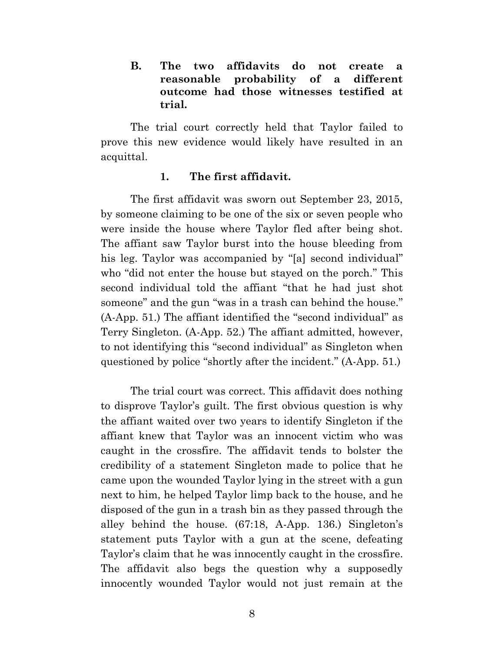**B. The two affidavits do not create a reasonable probability of a different outcome had those witnesses testified at trial.**

The trial court correctly held that Taylor failed to prove this new evidence would likely have resulted in an acquittal.

#### **1. The first affidavit.**

The first affidavit was sworn out September 23, 2015, by someone claiming to be one of the six or seven people who were inside the house where Taylor fled after being shot. The affiant saw Taylor burst into the house bleeding from his leg. Taylor was accompanied by "[a] second individual" who "did not enter the house but stayed on the porch." This second individual told the affiant "that he had just shot someone" and the gun "was in a trash can behind the house." (A-App. 51.) The affiant identified the "second individual" as Terry Singleton. (A-App. 52.) The affiant admitted, however, to not identifying this "second individual" as Singleton when questioned by police "shortly after the incident." (A-App. 51.)

The trial court was correct. This affidavit does nothing to disprove Taylor's guilt. The first obvious question is why the affiant waited over two years to identify Singleton if the affiant knew that Taylor was an innocent victim who was caught in the crossfire. The affidavit tends to bolster the credibility of a statement Singleton made to police that he came upon the wounded Taylor lying in the street with a gun next to him, he helped Taylor limp back to the house, and he disposed of the gun in a trash bin as they passed through the alley behind the house. (67:18, A-App. 136.) Singleton's statement puts Taylor with a gun at the scene, defeating Taylor's claim that he was innocently caught in the crossfire. The affidavit also begs the question why a supposedly innocently wounded Taylor would not just remain at the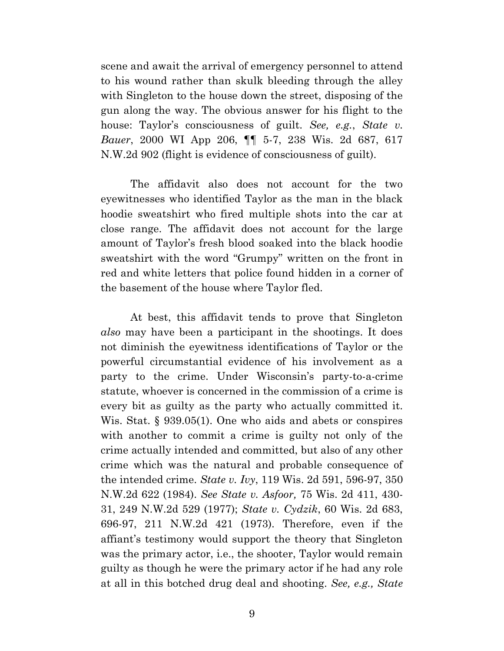scene and await the arrival of emergency personnel to attend to his wound rather than skulk bleeding through the alley with Singleton to the house down the street, disposing of the gun along the way. The obvious answer for his flight to the house: Taylor's consciousness of guilt. *See, e.g.*, *State v. Bauer*, 2000 WI App 206, ¶¶ 5-7, 238 Wis. 2d 687, 617 N.W.2d 902 (flight is evidence of consciousness of guilt).

The affidavit also does not account for the two eyewitnesses who identified Taylor as the man in the black hoodie sweatshirt who fired multiple shots into the car at close range. The affidavit does not account for the large amount of Taylor's fresh blood soaked into the black hoodie sweatshirt with the word "Grumpy" written on the front in red and white letters that police found hidden in a corner of the basement of the house where Taylor fled.

At best, this affidavit tends to prove that Singleton *also* may have been a participant in the shootings. It does not diminish the eyewitness identifications of Taylor or the powerful circumstantial evidence of his involvement as a party to the crime. Under Wisconsin's party-to-a-crime statute, whoever is concerned in the commission of a crime is every bit as guilty as the party who actually committed it. Wis. Stat. § 939.05(1). One who aids and abets or conspires with another to commit a crime is guilty not only of the crime actually intended and committed, but also of any other crime which was the natural and probable consequence of the intended crime. *State v. Ivy*, 119 Wis. 2d 591, 596-97, 350 N.W.2d 622 (1984). *See State v. Asfoor,* 75 Wis. 2d 411, 430- 31, 249 N.W.2d 529 (1977); *State v. Cydzik*, 60 Wis. 2d 683, 696-97, 211 N.W.2d 421 (1973). Therefore, even if the affiant's testimony would support the theory that Singleton was the primary actor, i.e., the shooter, Taylor would remain guilty as though he were the primary actor if he had any role at all in this botched drug deal and shooting. *See, e.g., State*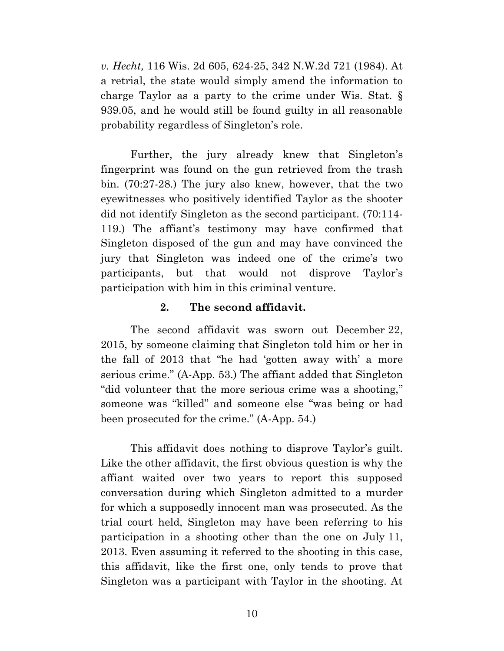*v. Hecht,* 116 Wis. 2d 605, 624-25, 342 N.W.2d 721 (1984). At a retrial, the state would simply amend the information to charge Taylor as a party to the crime under Wis. Stat. § 939.05, and he would still be found guilty in all reasonable probability regardless of Singleton's role.

Further, the jury already knew that Singleton's fingerprint was found on the gun retrieved from the trash bin. (70:27-28.) The jury also knew, however, that the two eyewitnesses who positively identified Taylor as the shooter did not identify Singleton as the second participant. (70:114- 119.) The affiant's testimony may have confirmed that Singleton disposed of the gun and may have convinced the jury that Singleton was indeed one of the crime's two participants, but that would not disprove Taylor's participation with him in this criminal venture.

#### **2. The second affidavit.**

The second affidavit was sworn out December 22, 2015, by someone claiming that Singleton told him or her in the fall of 2013 that "he had 'gotten away with' a more serious crime." (A-App. 53.) The affiant added that Singleton "did volunteer that the more serious crime was a shooting," someone was "killed" and someone else "was being or had been prosecuted for the crime." (A-App. 54.)

This affidavit does nothing to disprove Taylor's guilt. Like the other affidavit, the first obvious question is why the affiant waited over two years to report this supposed conversation during which Singleton admitted to a murder for which a supposedly innocent man was prosecuted. As the trial court held, Singleton may have been referring to his participation in a shooting other than the one on July 11, 2013. Even assuming it referred to the shooting in this case, this affidavit, like the first one, only tends to prove that Singleton was a participant with Taylor in the shooting. At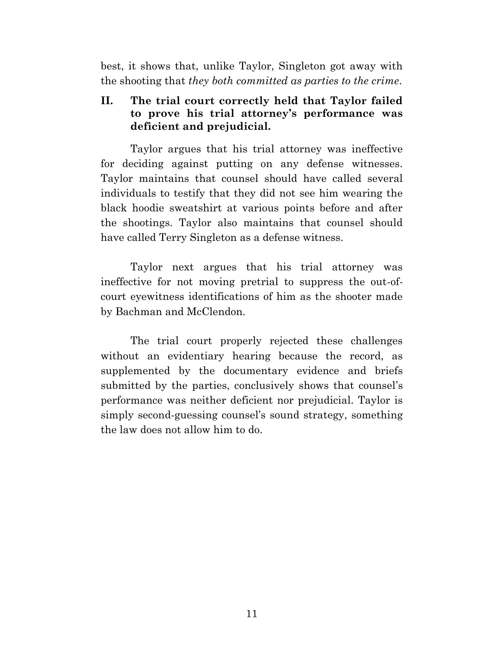best, it shows that, unlike Taylor, Singleton got away with the shooting that *they both committed as parties to the crime*.

## **II. The trial court correctly held that Taylor failed to prove his trial attorney's performance was deficient and prejudicial.**

Taylor argues that his trial attorney was ineffective for deciding against putting on any defense witnesses. Taylor maintains that counsel should have called several individuals to testify that they did not see him wearing the black hoodie sweatshirt at various points before and after the shootings. Taylor also maintains that counsel should have called Terry Singleton as a defense witness.

Taylor next argues that his trial attorney was ineffective for not moving pretrial to suppress the out-ofcourt eyewitness identifications of him as the shooter made by Bachman and McClendon.

The trial court properly rejected these challenges without an evidentiary hearing because the record, as supplemented by the documentary evidence and briefs submitted by the parties, conclusively shows that counsel's performance was neither deficient nor prejudicial. Taylor is simply second-guessing counsel's sound strategy, something the law does not allow him to do.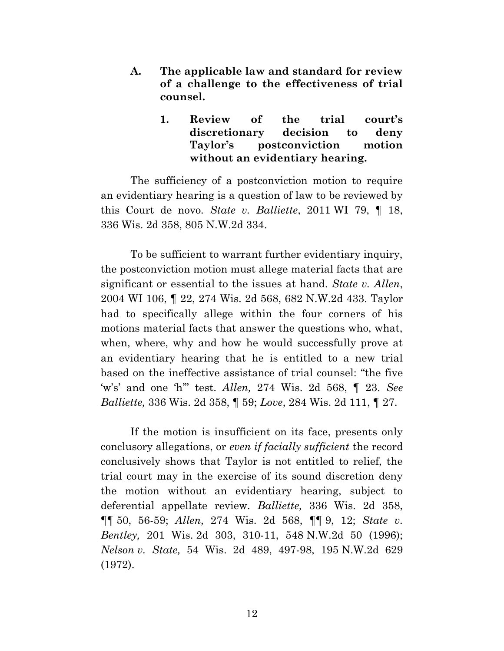- **A. The applicable law and standard for review of a challenge to the effectiveness of trial counsel.**
	- **1. Review of the trial court's discretionary decision to deny Taylor's postconviction motion without an evidentiary hearing.**

The sufficiency of a postconviction motion to require an evidentiary hearing is a question of law to be reviewed by this Court de novo*. State v. Balliette*, 2011 WI 79, ¶ 18, 336 Wis. 2d 358, 805 N.W.2d 334.

To be sufficient to warrant further evidentiary inquiry, the postconviction motion must allege material facts that are significant or essential to the issues at hand. *State v. Allen*, 2004 WI 106, ¶ 22, 274 Wis. 2d 568, 682 N.W.2d 433. Taylor had to specifically allege within the four corners of his motions material facts that answer the questions who, what, when, where, why and how he would successfully prove at an evidentiary hearing that he is entitled to a new trial based on the ineffective assistance of trial counsel: "the five 'w's' and one 'h'" test. *Allen,* 274 Wis. 2d 568, ¶ 23. *See Balliette,* 336 Wis. 2d 358, ¶ 59; *Love*, 284 Wis. 2d 111, ¶ 27.

If the motion is insufficient on its face, presents only conclusory allegations, or *even if facially sufficient* the record conclusively shows that Taylor is not entitled to relief, the trial court may in the exercise of its sound discretion deny the motion without an evidentiary hearing, subject to deferential appellate review. *Balliette,* 336 Wis. 2d 358, ¶¶ 50, 56-59; *Allen,* 274 Wis. 2d 568, ¶¶ 9, 12; *State v. Bentley,* 201 Wis. 2d 303, 310-11, 548 N.W.2d 50 (1996); *Nelson v. State,* 54 Wis. 2d 489, 497-98, 195 N.W.2d 629 (1972).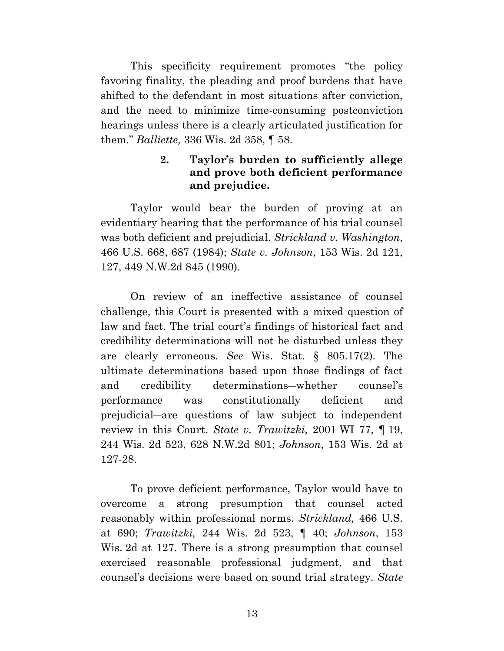This specificity requirement promotes "the policy favoring finality, the pleading and proof burdens that have shifted to the defendant in most situations after conviction, and the need to minimize time-consuming postconviction hearings unless there is a clearly articulated justification for them." *Balliette,* 336 Wis. 2d 358, ¶ 58.

## **2. Taylor's burden to sufficiently allege and prove both deficient performance and prejudice.**

Taylor would bear the burden of proving at an evidentiary hearing that the performance of his trial counsel was both deficient and prejudicial. *Strickland v. Washington*, 466 U.S. 668, 687 (1984); *State v. Johnson*, 153 Wis. 2d 121, 127, 449 N.W.2d 845 (1990).

On review of an ineffective assistance of counsel challenge, this Court is presented with a mixed question of law and fact. The trial court's findings of historical fact and credibility determinations will not be disturbed unless they are clearly erroneous. *See* Wis. Stat. § 805.17(2). The ultimate determinations based upon those findings of fact and credibility determinations―whether counsel's performance was constitutionally deficient and prejudicial―are questions of law subject to independent review in this Court. *State v. Trawitzki,* 2001 WI 77, ¶ 19, 244 Wis. 2d 523, 628 N.W.2d 801; *Johnson*, 153 Wis. 2d at 127-28.

To prove deficient performance, Taylor would have to overcome a strong presumption that counsel acted reasonably within professional norms. *Strickland,* 466 U.S. at 690; *Trawitzki,* 244 Wis. 2d 523, ¶ 40; *Johnson*, 153 Wis. 2d at 127. There is a strong presumption that counsel exercised reasonable professional judgment, and that counsel's decisions were based on sound trial strategy. *State*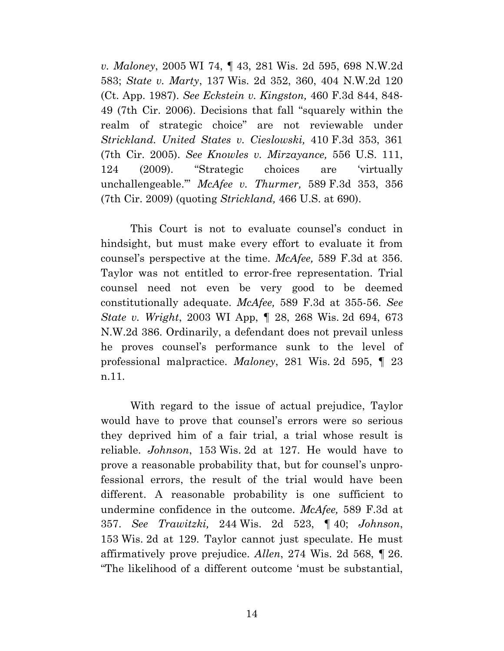*v. Maloney*, 2005 WI 74, ¶ 43, 281 Wis. 2d 595, 698 N.W.2d 583; *State v. Marty*, 137 Wis. 2d 352, 360, 404 N.W.2d 120 (Ct. App. 1987). *See Eckstein v. Kingston,* 460 F.3d 844, 848- 49 (7th Cir. 2006). Decisions that fall "squarely within the realm of strategic choice" are not reviewable under *Strickland. United States v. Cieslowski,* 410 F.3d 353, 361 (7th Cir. 2005). *See Knowles v. Mirzayance,* 556 U.S. 111, 124 (2009). "Strategic choices are 'virtually unchallengeable.'" *McAfee v. Thurmer,* 589 F.3d 353, 356 (7th Cir. 2009) (quoting *Strickland,* 466 U.S. at 690).

This Court is not to evaluate counsel's conduct in hindsight, but must make every effort to evaluate it from counsel's perspective at the time. *McAfee,* 589 F.3d at 356. Taylor was not entitled to error-free representation. Trial counsel need not even be very good to be deemed constitutionally adequate. *McAfee,* 589 F.3d at 355-56. *See State v. Wright*, 2003 WI App, ¶ 28, 268 Wis. 2d 694, 673 N.W.2d 386. Ordinarily, a defendant does not prevail unless he proves counsel's performance sunk to the level of professional malpractice. *Maloney*, 281 Wis. 2d 595, ¶ 23 n.11.

With regard to the issue of actual prejudice, Taylor would have to prove that counsel's errors were so serious they deprived him of a fair trial, a trial whose result is reliable. *Johnson*, 153 Wis. 2d at 127. He would have to prove a reasonable probability that, but for counsel's unprofessional errors, the result of the trial would have been different. A reasonable probability is one sufficient to undermine confidence in the outcome. *McAfee,* 589 F.3d at 357. *See Trawitzki,* 244 Wis. 2d 523, ¶ 40; *Johnson*, 153 Wis. 2d at 129. Taylor cannot just speculate. He must affirmatively prove prejudice. *Allen*, 274 Wis. 2d 568, ¶ 26. "The likelihood of a different outcome 'must be substantial,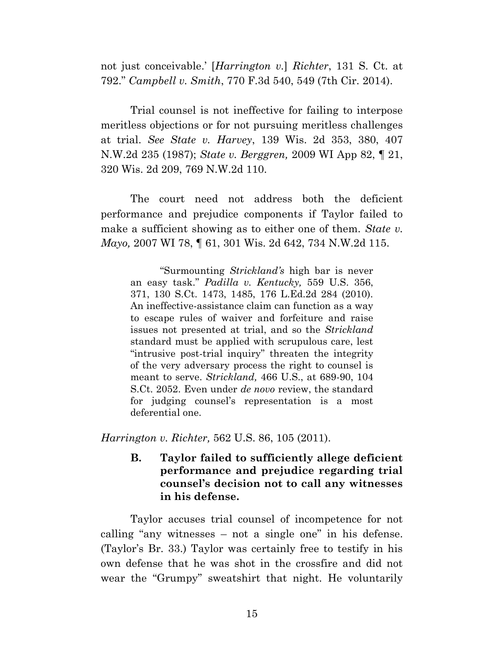not just conceivable.' [*Harrington v.*] *Richter*, 131 S. Ct. at 792." *Campbell v. Smith*, 770 F.3d 540, 549 (7th Cir. 2014).

Trial counsel is not ineffective for failing to interpose meritless objections or for not pursuing meritless challenges at trial. *See State v. Harvey*, 139 Wis. 2d 353, 380, 407 N.W.2d 235 (1987); *State v. Berggren,* 2009 WI App 82, ¶ 21, 320 Wis. 2d 209, 769 N.W.2d 110.

The court need not address both the deficient performance and prejudice components if Taylor failed to make a sufficient showing as to either one of them. *State v. Mayo,* 2007 WI 78, ¶ 61, 301 Wis. 2d 642, 734 N.W.2d 115.

"Surmounting *Strickland's* high bar is never an easy task." *Padilla v. Kentucky,* 559 U.S. 356, 371, 130 S.Ct. 1473, 1485, 176 L.Ed.2d 284 (2010). An ineffective-assistance claim can function as a way to escape rules of waiver and forfeiture and raise issues not presented at trial, and so the *Strickland*  standard must be applied with scrupulous care, lest "intrusive post-trial inquiry" threaten the integrity of the very adversary process the right to counsel is meant to serve. *Strickland,* 466 U.S., at 689-90, 104 S.Ct. 2052. Even under *de novo* review, the standard for judging counsel's representation is a most deferential one.

*Harrington v. Richter,* 562 U.S. 86, 105 (2011).

**B. Taylor failed to sufficiently allege deficient performance and prejudice regarding trial counsel's decision not to call any witnesses in his defense.**

Taylor accuses trial counsel of incompetence for not calling "any witnesses – not a single one" in his defense. (Taylor's Br. 33.) Taylor was certainly free to testify in his own defense that he was shot in the crossfire and did not wear the "Grumpy" sweatshirt that night. He voluntarily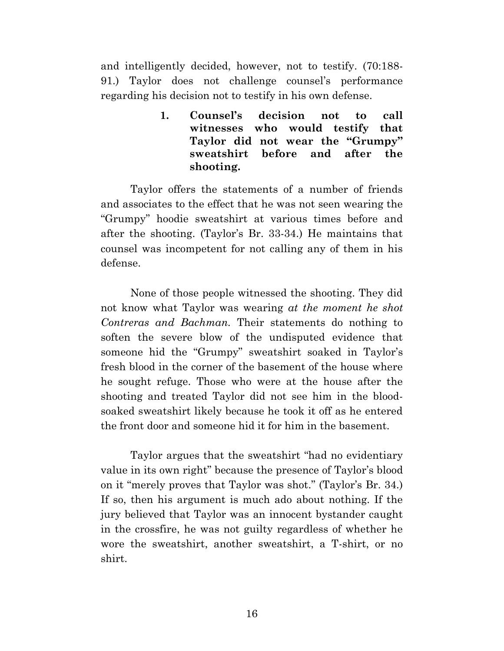and intelligently decided, however, not to testify. (70:188- 91.) Taylor does not challenge counsel's performance regarding his decision not to testify in his own defense.

> **1. Counsel's decision not to call witnesses who would testify that Taylor did not wear the "Grumpy" sweatshirt before and after the shooting.**

Taylor offers the statements of a number of friends and associates to the effect that he was not seen wearing the "Grumpy" hoodie sweatshirt at various times before and after the shooting. (Taylor's Br. 33-34.) He maintains that counsel was incompetent for not calling any of them in his defense.

None of those people witnessed the shooting. They did not know what Taylor was wearing *at the moment he shot Contreras and Bachman.* Their statements do nothing to soften the severe blow of the undisputed evidence that someone hid the "Grumpy" sweatshirt soaked in Taylor's fresh blood in the corner of the basement of the house where he sought refuge. Those who were at the house after the shooting and treated Taylor did not see him in the bloodsoaked sweatshirt likely because he took it off as he entered the front door and someone hid it for him in the basement.

Taylor argues that the sweatshirt "had no evidentiary value in its own right" because the presence of Taylor's blood on it "merely proves that Taylor was shot." (Taylor's Br. 34.) If so, then his argument is much ado about nothing. If the jury believed that Taylor was an innocent bystander caught in the crossfire, he was not guilty regardless of whether he wore the sweatshirt, another sweatshirt, a T-shirt, or no shirt.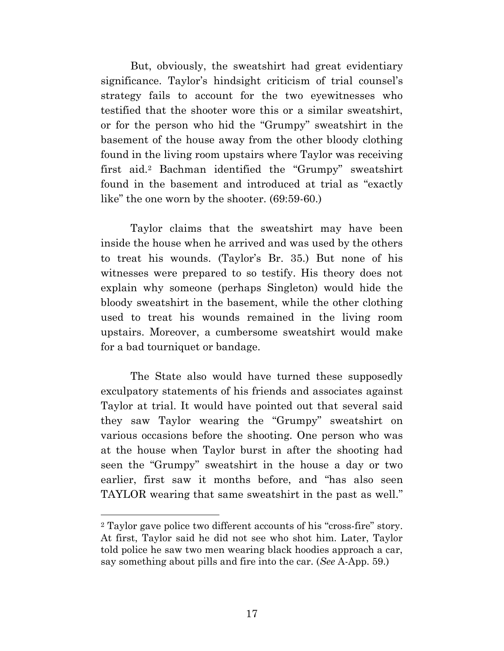But, obviously, the sweatshirt had great evidentiary significance. Taylor's hindsight criticism of trial counsel's strategy fails to account for the two eyewitnesses who testified that the shooter wore this or a similar sweatshirt, or for the person who hid the "Grumpy" sweatshirt in the basement of the house away from the other bloody clothing found in the living room upstairs where Taylor was receiving first aid.<sup>2</sup> Bachman identified the "Grumpy" sweatshirt found in the basement and introduced at trial as "exactly like" the one worn by the shooter. (69:59-60.)

Taylor claims that the sweatshirt may have been inside the house when he arrived and was used by the others to treat his wounds. (Taylor's Br. 35.) But none of his witnesses were prepared to so testify. His theory does not explain why someone (perhaps Singleton) would hide the bloody sweatshirt in the basement, while the other clothing used to treat his wounds remained in the living room upstairs. Moreover, a cumbersome sweatshirt would make for a bad tourniquet or bandage.

The State also would have turned these supposedly exculpatory statements of his friends and associates against Taylor at trial. It would have pointed out that several said they saw Taylor wearing the "Grumpy" sweatshirt on various occasions before the shooting. One person who was at the house when Taylor burst in after the shooting had seen the "Grumpy" sweatshirt in the house a day or two earlier, first saw it months before, and "has also seen TAYLOR wearing that same sweatshirt in the past as well."

<sup>2</sup> Taylor gave police two different accounts of his "cross-fire" story. At first, Taylor said he did not see who shot him. Later, Taylor told police he saw two men wearing black hoodies approach a car, say something about pills and fire into the car. (*See* A-App. 59.)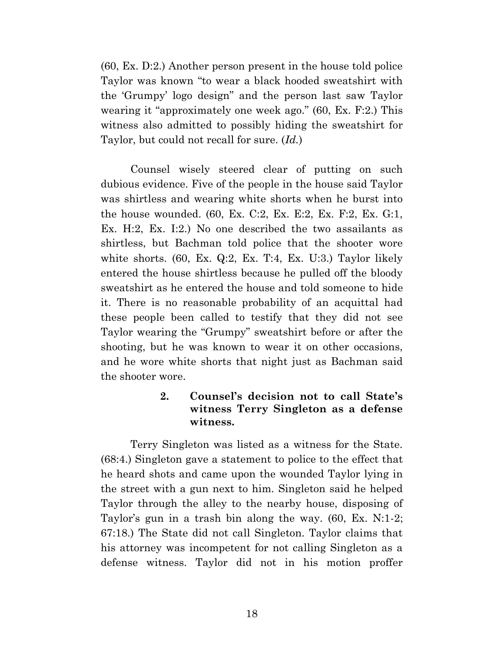(60, Ex. D:2.) Another person present in the house told police Taylor was known "to wear a black hooded sweatshirt with the 'Grumpy' logo design" and the person last saw Taylor wearing it "approximately one week ago." (60, Ex. F:2.) This witness also admitted to possibly hiding the sweatshirt for Taylor, but could not recall for sure. (*Id.*)

Counsel wisely steered clear of putting on such dubious evidence. Five of the people in the house said Taylor was shirtless and wearing white shorts when he burst into the house wounded. (60, Ex. C:2, Ex. E:2, Ex. F:2, Ex. G:1, Ex. H:2, Ex. I:2.) No one described the two assailants as shirtless, but Bachman told police that the shooter wore white shorts. (60, Ex. Q:2, Ex. T:4, Ex. U:3.) Taylor likely entered the house shirtless because he pulled off the bloody sweatshirt as he entered the house and told someone to hide it. There is no reasonable probability of an acquittal had these people been called to testify that they did not see Taylor wearing the "Grumpy" sweatshirt before or after the shooting, but he was known to wear it on other occasions, and he wore white shorts that night just as Bachman said the shooter wore.

### **2. Counsel's decision not to call State's witness Terry Singleton as a defense witness.**

Terry Singleton was listed as a witness for the State. (68:4.) Singleton gave a statement to police to the effect that he heard shots and came upon the wounded Taylor lying in the street with a gun next to him. Singleton said he helped Taylor through the alley to the nearby house, disposing of Taylor's gun in a trash bin along the way. (60, Ex. N:1-2; 67:18.) The State did not call Singleton. Taylor claims that his attorney was incompetent for not calling Singleton as a defense witness. Taylor did not in his motion proffer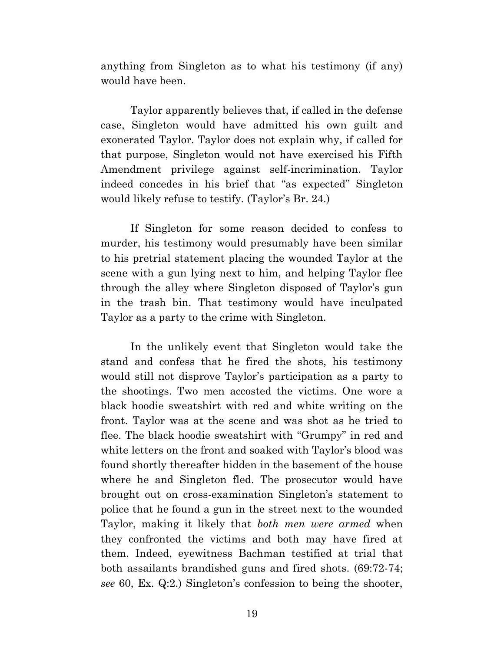anything from Singleton as to what his testimony (if any) would have been.

Taylor apparently believes that, if called in the defense case, Singleton would have admitted his own guilt and exonerated Taylor. Taylor does not explain why, if called for that purpose, Singleton would not have exercised his Fifth Amendment privilege against self-incrimination. Taylor indeed concedes in his brief that "as expected" Singleton would likely refuse to testify. (Taylor's Br. 24.)

If Singleton for some reason decided to confess to murder, his testimony would presumably have been similar to his pretrial statement placing the wounded Taylor at the scene with a gun lying next to him, and helping Taylor flee through the alley where Singleton disposed of Taylor's gun in the trash bin. That testimony would have inculpated Taylor as a party to the crime with Singleton.

In the unlikely event that Singleton would take the stand and confess that he fired the shots, his testimony would still not disprove Taylor's participation as a party to the shootings. Two men accosted the victims. One wore a black hoodie sweatshirt with red and white writing on the front. Taylor was at the scene and was shot as he tried to flee. The black hoodie sweatshirt with "Grumpy" in red and white letters on the front and soaked with Taylor's blood was found shortly thereafter hidden in the basement of the house where he and Singleton fled. The prosecutor would have brought out on cross-examination Singleton's statement to police that he found a gun in the street next to the wounded Taylor, making it likely that *both men were armed* when they confronted the victims and both may have fired at them. Indeed, eyewitness Bachman testified at trial that both assailants brandished guns and fired shots. (69:72-74; *see* 60, Ex. Q:2.) Singleton's confession to being the shooter,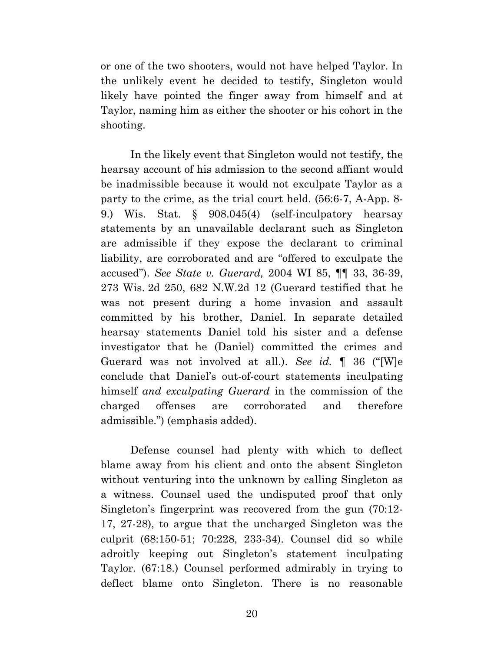or one of the two shooters, would not have helped Taylor. In the unlikely event he decided to testify, Singleton would likely have pointed the finger away from himself and at Taylor, naming him as either the shooter or his cohort in the shooting.

In the likely event that Singleton would not testify, the hearsay account of his admission to the second affiant would be inadmissible because it would not exculpate Taylor as a party to the crime, as the trial court held. (56:6-7, A-App. 8- 9.) Wis. Stat. § 908.045(4) (self-inculpatory hearsay statements by an unavailable declarant such as Singleton are admissible if they expose the declarant to criminal liability, are corroborated and are "offered to exculpate the accused"). *See State v. Guerard,* 2004 WI 85, ¶¶ 33, 36-39, 273 Wis. 2d 250, 682 N.W.2d 12 (Guerard testified that he was not present during a home invasion and assault committed by his brother, Daniel. In separate detailed hearsay statements Daniel told his sister and a defense investigator that he (Daniel) committed the crimes and Guerard was not involved at all.). *See id.* ¶ 36 ("[W]e conclude that Daniel's out-of-court statements inculpating himself *and exculpating Guerard* in the commission of the charged offenses are corroborated and therefore admissible.") (emphasis added).

Defense counsel had plenty with which to deflect blame away from his client and onto the absent Singleton without venturing into the unknown by calling Singleton as a witness. Counsel used the undisputed proof that only Singleton's fingerprint was recovered from the gun (70:12- 17, 27-28), to argue that the uncharged Singleton was the culprit (68:150-51; 70:228, 233-34). Counsel did so while adroitly keeping out Singleton's statement inculpating Taylor. (67:18.) Counsel performed admirably in trying to deflect blame onto Singleton. There is no reasonable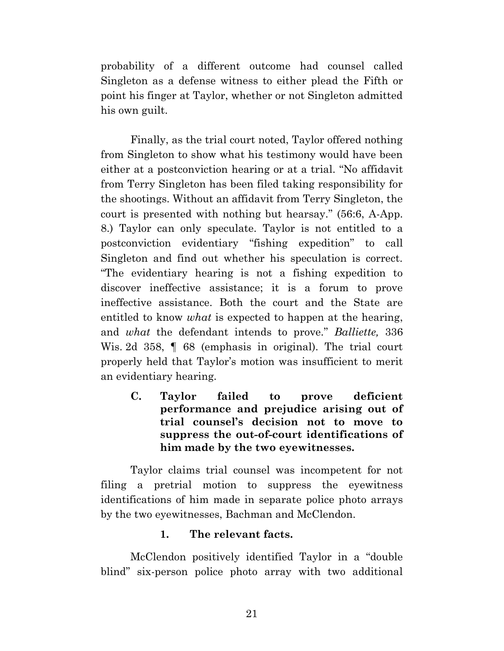probability of a different outcome had counsel called Singleton as a defense witness to either plead the Fifth or point his finger at Taylor, whether or not Singleton admitted his own guilt.

Finally, as the trial court noted, Taylor offered nothing from Singleton to show what his testimony would have been either at a postconviction hearing or at a trial. "No affidavit from Terry Singleton has been filed taking responsibility for the shootings. Without an affidavit from Terry Singleton, the court is presented with nothing but hearsay." (56:6, A-App. 8.) Taylor can only speculate. Taylor is not entitled to a postconviction evidentiary "fishing expedition" to call Singleton and find out whether his speculation is correct. "The evidentiary hearing is not a fishing expedition to discover ineffective assistance; it is a forum to prove ineffective assistance. Both the court and the State are entitled to know *what* is expected to happen at the hearing, and *what* the defendant intends to prove." *Balliette,* 336 Wis. 2d 358,  $\parallel$  68 (emphasis in original). The trial court properly held that Taylor's motion was insufficient to merit an evidentiary hearing.

**C. Taylor failed to prove deficient performance and prejudice arising out of trial counsel's decision not to move to suppress the out-of-court identifications of him made by the two eyewitnesses.**

Taylor claims trial counsel was incompetent for not filing a pretrial motion to suppress the eyewitness identifications of him made in separate police photo arrays by the two eyewitnesses, Bachman and McClendon.

#### **1. The relevant facts.**

McClendon positively identified Taylor in a "double blind" six-person police photo array with two additional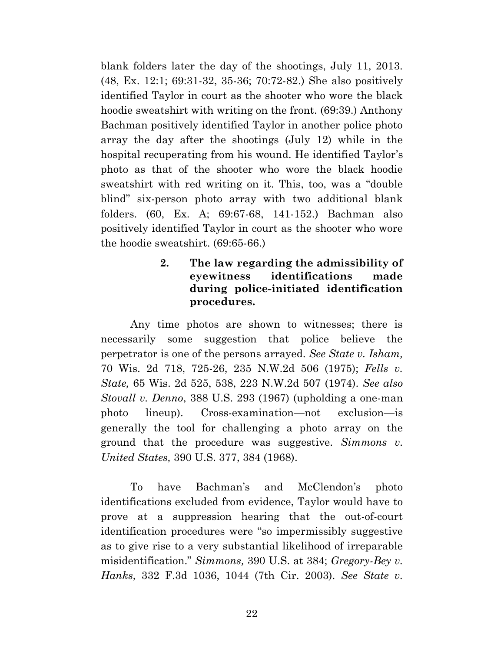blank folders later the day of the shootings, July 11, 2013. (48, Ex. 12:1; 69:31-32, 35-36; 70:72-82.) She also positively identified Taylor in court as the shooter who wore the black hoodie sweatshirt with writing on the front. (69:39.) Anthony Bachman positively identified Taylor in another police photo array the day after the shootings (July 12) while in the hospital recuperating from his wound. He identified Taylor's photo as that of the shooter who wore the black hoodie sweatshirt with red writing on it. This, too, was a "double blind" six-person photo array with two additional blank folders. (60, Ex. A; 69:67-68, 141-152.) Bachman also positively identified Taylor in court as the shooter who wore the hoodie sweatshirt. (69:65-66.)

## **2. The law regarding the admissibility of eyewitness identifications made during police-initiated identification procedures.**

Any time photos are shown to witnesses; there is necessarily some suggestion that police believe the perpetrator is one of the persons arrayed. *See State v. Isham,* 70 Wis. 2d 718, 725-26, 235 N.W.2d 506 (1975); *Fells v. State,* 65 Wis. 2d 525, 538, 223 N.W.2d 507 (1974). *See also Stovall v. Denno*, 388 U.S. 293 (1967) (upholding a one-man photo lineup). Cross-examination—not exclusion—is generally the tool for challenging a photo array on the ground that the procedure was suggestive. *Simmons v. United States,* 390 U.S. 377, 384 (1968).

To have Bachman's and McClendon's photo identifications excluded from evidence, Taylor would have to prove at a suppression hearing that the out-of-court identification procedures were "so impermissibly suggestive as to give rise to a very substantial likelihood of irreparable misidentification." *Simmons,* 390 U.S. at 384; *Gregory-Bey v. Hanks*, 332 F.3d 1036, 1044 (7th Cir. 2003). *See State v.*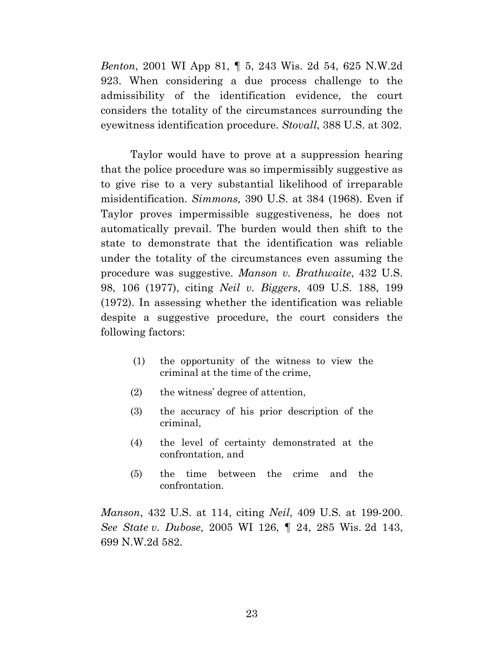*Benton*, 2001 WI App 81, ¶ 5, 243 Wis. 2d 54, 625 N.W.2d 923. When considering a due process challenge to the admissibility of the identification evidence, the court considers the totality of the circumstances surrounding the eyewitness identification procedure. *Stovall*, 388 U.S. at 302.

Taylor would have to prove at a suppression hearing that the police procedure was so impermissibly suggestive as to give rise to a very substantial likelihood of irreparable misidentification. *Simmons,* 390 U.S. at 384 (1968). Even if Taylor proves impermissible suggestiveness, he does not automatically prevail. The burden would then shift to the state to demonstrate that the identification was reliable under the totality of the circumstances even assuming the procedure was suggestive. *Manson v. Brathwaite*, 432 U.S. 98, 106 (1977), citing *Neil v. Biggers*, 409 U.S. 188, 199 (1972). In assessing whether the identification was reliable despite a suggestive procedure, the court considers the following factors:

- (1) the opportunity of the witness to view the criminal at the time of the crime,
- (2) the witness' degree of attention,
- (3) the accuracy of his prior description of the criminal,
- (4) the level of certainty demonstrated at the confrontation, and
- (5) the time between the crime and the confrontation.

*Manson*, 432 U.S. at 114, citing *Neil*, 409 U.S. at 199-200. *See State v. Dubose,* 2005 WI 126, ¶ 24, 285 Wis. 2d 143, 699 N.W.2d 582.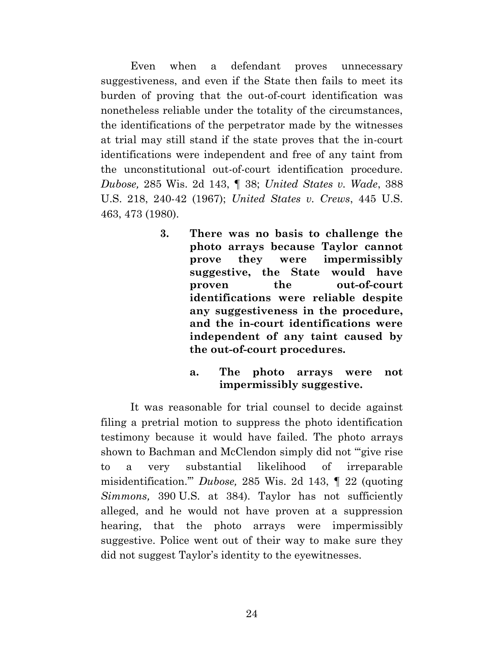Even when a defendant proves unnecessary suggestiveness, and even if the State then fails to meet its burden of proving that the out-of-court identification was nonetheless reliable under the totality of the circumstances, the identifications of the perpetrator made by the witnesses at trial may still stand if the state proves that the in-court identifications were independent and free of any taint from the unconstitutional out-of-court identification procedure. *Dubose,* 285 Wis. 2d 143, ¶ 38; *United States v. Wade*, 388 U.S. 218, 240-42 (1967); *United States v. Crews*, 445 U.S. 463, 473 (1980).

- **3. There was no basis to challenge the photo arrays because Taylor cannot prove they were impermissibly suggestive, the State would have proven the out-of-court identifications were reliable despite any suggestiveness in the procedure, and the in-court identifications were independent of any taint caused by the out-of-court procedures.**
	- **a. The photo arrays were not impermissibly suggestive.**

It was reasonable for trial counsel to decide against filing a pretrial motion to suppress the photo identification testimony because it would have failed. The photo arrays shown to Bachman and McClendon simply did not "'give rise to a very substantial likelihood of irreparable misidentification.'" *Dubose,* 285 Wis. 2d 143, ¶ 22 (quoting *Simmons,* 390 U.S. at 384). Taylor has not sufficiently alleged, and he would not have proven at a suppression hearing, that the photo arrays were impermissibly suggestive. Police went out of their way to make sure they did not suggest Taylor's identity to the eyewitnesses.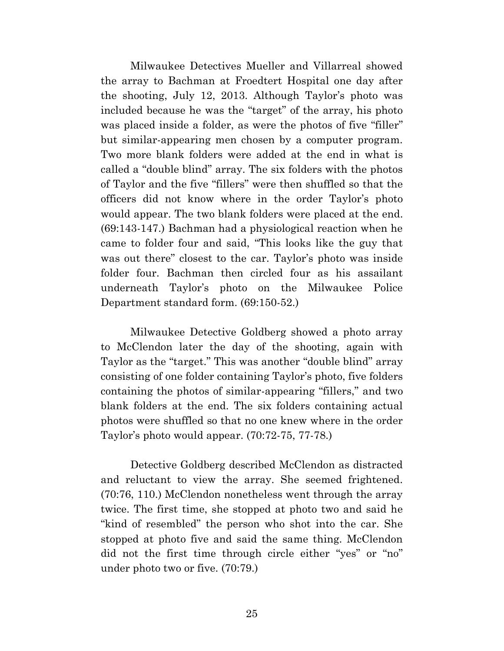Milwaukee Detectives Mueller and Villarreal showed the array to Bachman at Froedtert Hospital one day after the shooting, July 12, 2013. Although Taylor's photo was included because he was the "target" of the array, his photo was placed inside a folder, as were the photos of five "filler" but similar-appearing men chosen by a computer program. Two more blank folders were added at the end in what is called a "double blind" array. The six folders with the photos of Taylor and the five "fillers" were then shuffled so that the officers did not know where in the order Taylor's photo would appear. The two blank folders were placed at the end. (69:143-147.) Bachman had a physiological reaction when he came to folder four and said, "This looks like the guy that was out there" closest to the car. Taylor's photo was inside folder four. Bachman then circled four as his assailant underneath Taylor's photo on the Milwaukee Police Department standard form. (69:150-52.)

Milwaukee Detective Goldberg showed a photo array to McClendon later the day of the shooting, again with Taylor as the "target." This was another "double blind" array consisting of one folder containing Taylor's photo, five folders containing the photos of similar-appearing "fillers," and two blank folders at the end. The six folders containing actual photos were shuffled so that no one knew where in the order Taylor's photo would appear. (70:72-75, 77-78.)

Detective Goldberg described McClendon as distracted and reluctant to view the array. She seemed frightened. (70:76, 110.) McClendon nonetheless went through the array twice. The first time, she stopped at photo two and said he "kind of resembled" the person who shot into the car. She stopped at photo five and said the same thing. McClendon did not the first time through circle either "yes" or "no" under photo two or five. (70:79.)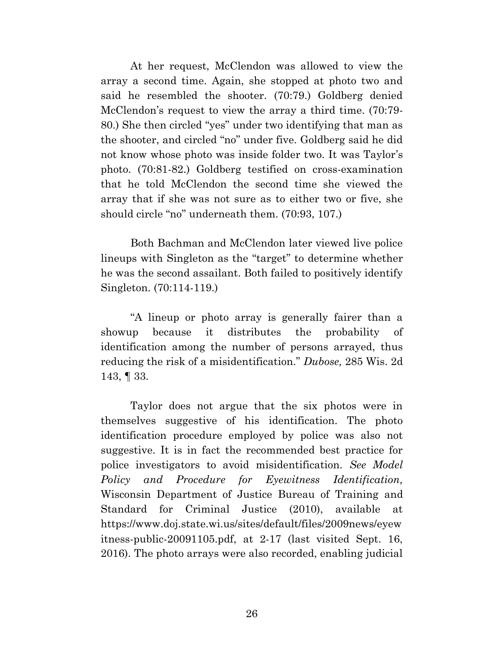At her request, McClendon was allowed to view the array a second time. Again, she stopped at photo two and said he resembled the shooter. (70:79.) Goldberg denied McClendon's request to view the array a third time. (70:79- 80.) She then circled "yes" under two identifying that man as the shooter, and circled "no" under five. Goldberg said he did not know whose photo was inside folder two. It was Taylor's photo. (70:81-82.) Goldberg testified on cross-examination that he told McClendon the second time she viewed the array that if she was not sure as to either two or five, she should circle "no" underneath them. (70:93, 107.)

Both Bachman and McClendon later viewed live police lineups with Singleton as the "target" to determine whether he was the second assailant. Both failed to positively identify Singleton. (70:114-119.)

"A lineup or photo array is generally fairer than a showup because it distributes the probability of identification among the number of persons arrayed, thus reducing the risk of a misidentification." *Dubose,* 285 Wis. 2d 143, ¶ 33.

Taylor does not argue that the six photos were in themselves suggestive of his identification. The photo identification procedure employed by police was also not suggestive. It is in fact the recommended best practice for police investigators to avoid misidentification. *See Model Policy and Procedure for Eyewitness Identification,*  Wisconsin Department of Justice Bureau of Training and Standard for Criminal Justice (2010), available at [https://www.doj.state.wi.us/sites/default/files/2009news/eyew](https://www.doj.state.wi.us/sites/default/files/2009news/eyewitness-public-20091105.pdf) [itness-public-20091105.pdf,](https://www.doj.state.wi.us/sites/default/files/2009news/eyewitness-public-20091105.pdf) at 2-17 (last visited Sept. 16, 2016). The photo arrays were also recorded, enabling judicial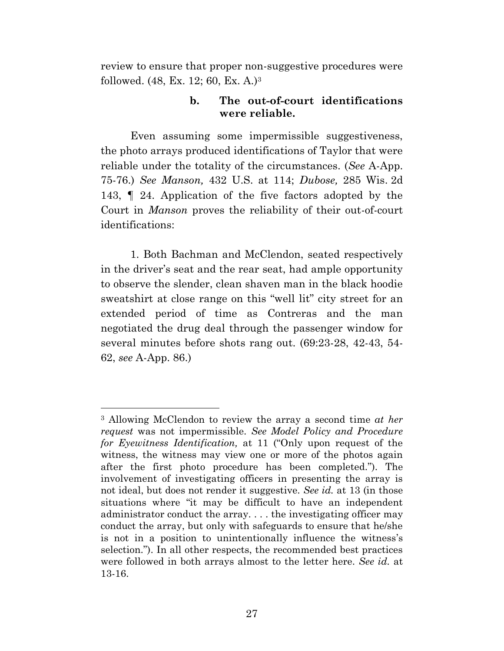review to ensure that proper non-suggestive procedures were followed. (48, Ex. 12; 60, Ex. A.)<sup>3</sup>

### **b. The out-of-court identifications were reliable.**

Even assuming some impermissible suggestiveness, the photo arrays produced identifications of Taylor that were reliable under the totality of the circumstances. (*See* A-App. 75-76.) *See Manson,* 432 U.S. at 114; *Dubose,* 285 Wis. 2d 143, ¶ 24. Application of the five factors adopted by the Court in *Manson* proves the reliability of their out-of-court identifications:

1. Both Bachman and McClendon, seated respectively in the driver's seat and the rear seat, had ample opportunity to observe the slender, clean shaven man in the black hoodie sweatshirt at close range on this "well lit" city street for an extended period of time as Contreras and the man negotiated the drug deal through the passenger window for several minutes before shots rang out. (69:23-28, 42-43, 54- 62, *see* A-App. 86.)

<sup>3</sup> Allowing McClendon to review the array a second time *at her request* was not impermissible. *See Model Policy and Procedure for Eyewitness Identification,* at 11 ("Only upon request of the witness, the witness may view one or more of the photos again after the first photo procedure has been completed."). The involvement of investigating officers in presenting the array is not ideal, but does not render it suggestive. *See id.* at 13 (in those situations where "it may be difficult to have an independent administrator conduct the array. . . . the investigating officer may conduct the array, but only with safeguards to ensure that he/she is not in a position to unintentionally influence the witness's selection."). In all other respects, the recommended best practices were followed in both arrays almost to the letter here. *See id.* at 13-16.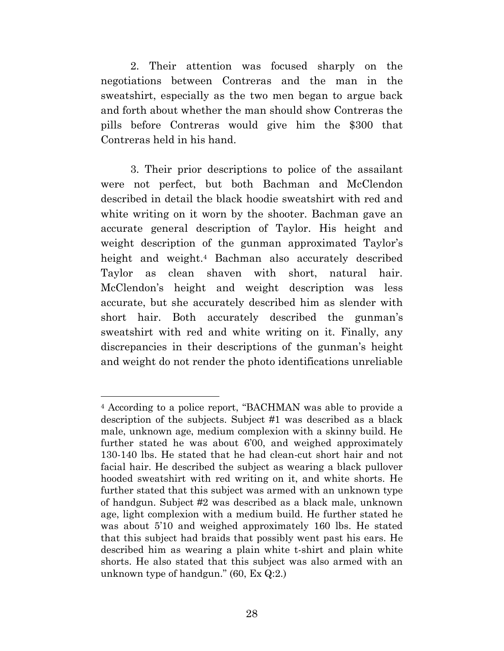2. Their attention was focused sharply on the negotiations between Contreras and the man in the sweatshirt, especially as the two men began to argue back and forth about whether the man should show Contreras the pills before Contreras would give him the \$300 that Contreras held in his hand.

3. Their prior descriptions to police of the assailant were not perfect, but both Bachman and McClendon described in detail the black hoodie sweatshirt with red and white writing on it worn by the shooter. Bachman gave an accurate general description of Taylor. His height and weight description of the gunman approximated Taylor's height and weight.<sup>4</sup> Bachman also accurately described Taylor as clean shaven with short, natural hair. McClendon's height and weight description was less accurate, but she accurately described him as slender with short hair. Both accurately described the gunman's sweatshirt with red and white writing on it. Finally, any discrepancies in their descriptions of the gunman's height and weight do not render the photo identifications unreliable

<sup>4</sup> According to a police report, "BACHMAN was able to provide a description of the subjects. Subject #1 was described as a black male, unknown age, medium complexion with a skinny build. He further stated he was about 6'00, and weighed approximately 130-140 lbs. He stated that he had clean-cut short hair and not facial hair. He described the subject as wearing a black pullover hooded sweatshirt with red writing on it, and white shorts. He further stated that this subject was armed with an unknown type of handgun. Subject #2 was described as a black male, unknown age, light complexion with a medium build. He further stated he was about 5'10 and weighed approximately 160 lbs. He stated that this subject had braids that possibly went past his ears. He described him as wearing a plain white t-shirt and plain white shorts. He also stated that this subject was also armed with an unknown type of handgun." (60, Ex Q:2.)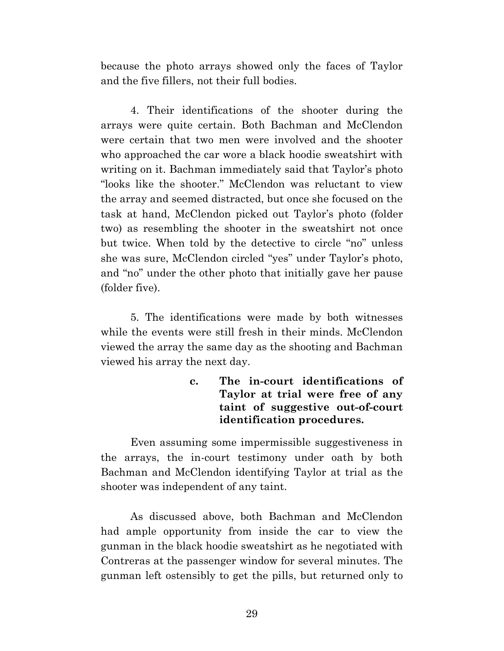because the photo arrays showed only the faces of Taylor and the five fillers, not their full bodies.

4. Their identifications of the shooter during the arrays were quite certain. Both Bachman and McClendon were certain that two men were involved and the shooter who approached the car wore a black hoodie sweatshirt with writing on it. Bachman immediately said that Taylor's photo "looks like the shooter." McClendon was reluctant to view the array and seemed distracted, but once she focused on the task at hand, McClendon picked out Taylor's photo (folder two) as resembling the shooter in the sweatshirt not once but twice. When told by the detective to circle "no" unless she was sure, McClendon circled "yes" under Taylor's photo, and "no" under the other photo that initially gave her pause (folder five).

5. The identifications were made by both witnesses while the events were still fresh in their minds. McClendon viewed the array the same day as the shooting and Bachman viewed his array the next day.

> **c. The in-court identifications of Taylor at trial were free of any taint of suggestive out-of-court identification procedures.**

Even assuming some impermissible suggestiveness in the arrays, the in-court testimony under oath by both Bachman and McClendon identifying Taylor at trial as the shooter was independent of any taint.

As discussed above, both Bachman and McClendon had ample opportunity from inside the car to view the gunman in the black hoodie sweatshirt as he negotiated with Contreras at the passenger window for several minutes. The gunman left ostensibly to get the pills, but returned only to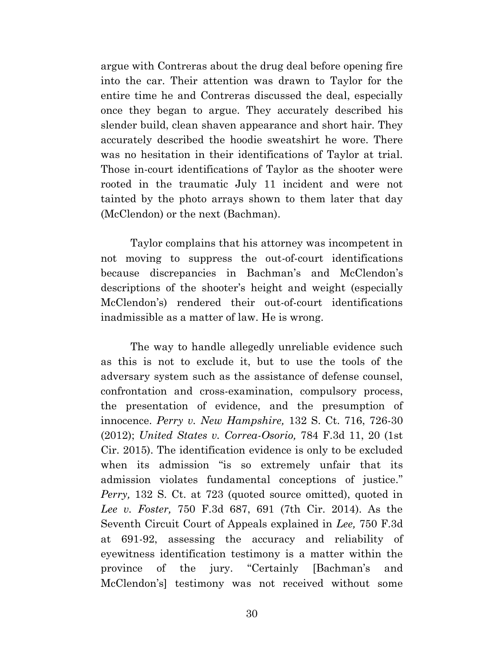argue with Contreras about the drug deal before opening fire into the car. Their attention was drawn to Taylor for the entire time he and Contreras discussed the deal, especially once they began to argue. They accurately described his slender build, clean shaven appearance and short hair. They accurately described the hoodie sweatshirt he wore. There was no hesitation in their identifications of Taylor at trial. Those in-court identifications of Taylor as the shooter were rooted in the traumatic July 11 incident and were not tainted by the photo arrays shown to them later that day (McClendon) or the next (Bachman).

Taylor complains that his attorney was incompetent in not moving to suppress the out-of-court identifications because discrepancies in Bachman's and McClendon's descriptions of the shooter's height and weight (especially McClendon's) rendered their out-of-court identifications inadmissible as a matter of law. He is wrong.

The way to handle allegedly unreliable evidence such as this is not to exclude it, but to use the tools of the adversary system such as the assistance of defense counsel, confrontation and cross-examination, compulsory process, the presentation of evidence, and the presumption of innocence. *Perry v. New Hampshire,* 132 S. Ct. 716, 726-30 (2012); *United States v. Correa-Osorio,* 784 F.3d 11, 20 (1st Cir. 2015). The identification evidence is only to be excluded when its admission "is so extremely unfair that its admission violates fundamental conceptions of justice." *Perry,* 132 S. Ct. at 723 (quoted source omitted), quoted in *Lee v. Foster,* 750 F.3d 687, 691 (7th Cir. 2014). As the Seventh Circuit Court of Appeals explained in *Lee,* 750 F.3d at 691-92, assessing the accuracy and reliability of eyewitness identification testimony is a matter within the province of the jury. "Certainly [Bachman's and McClendon's] testimony was not received without some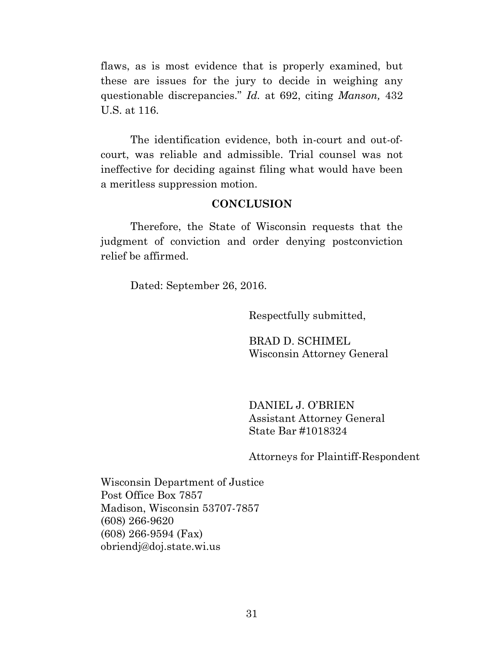flaws, as is most evidence that is properly examined, but these are issues for the jury to decide in weighing any questionable discrepancies." *Id.* at 692, citing *Manson,* 432 U.S. at 116.

The identification evidence, both in-court and out-ofcourt, was reliable and admissible. Trial counsel was not ineffective for deciding against filing what would have been a meritless suppression motion.

#### **CONCLUSION**

Therefore, the State of Wisconsin requests that the judgment of conviction and order denying postconviction relief be affirmed.

Dated: September 26, 2016.

Respectfully submitted,

BRAD D. SCHIMEL Wisconsin Attorney General

DANIEL J. O'BRIEN Assistant Attorney General State Bar #1018324

Attorneys for Plaintiff-Respondent

Wisconsin Department of Justice Post Office Box 7857 Madison, Wisconsin 53707-7857 (608) 266-9620 (608) 266-9594 (Fax) obriendj@doj.state.wi.us